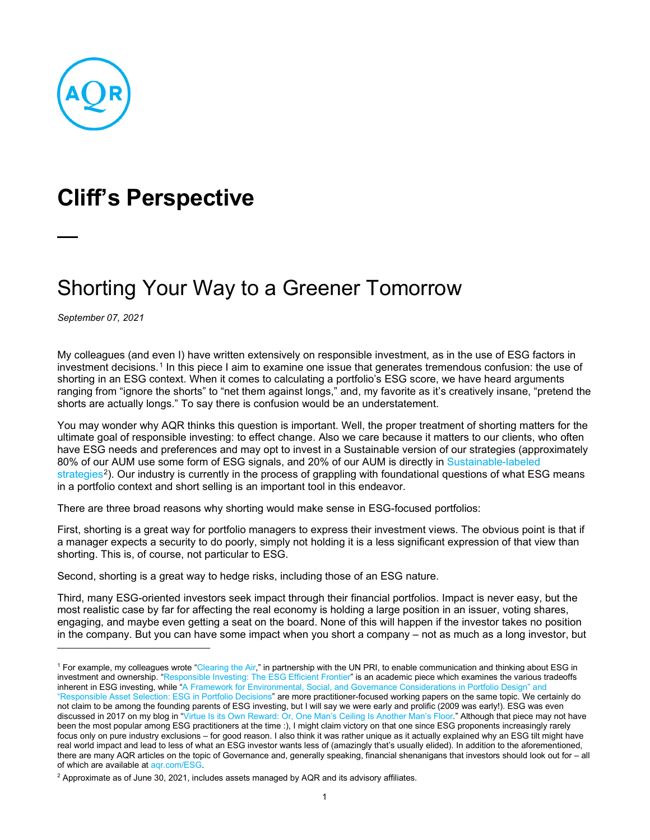

## **Cliff's Perspective**

## Shorting Your Way to a Greener Tomorrow

*September 07, 2021*

My colleagues (and even I) have written extensively on responsible investment, as in the use of ESG factors in investment decisions.<sup>[1](#page-0-0)</sup> In this piece I aim to examine one issue that generates tremendous confusion: the use of shorting in an ESG context. When it comes to calculating a portfolio's ESG score, we have heard arguments ranging from "ignore the shorts" to "net them against longs," and, my favorite as it's creatively insane, "pretend the shorts are actually longs." To say there is confusion would be an understatement.

You may wonder why AQR thinks this question is important. Well, the proper treatment of shorting matters for the ultimate goal of responsible investing: to effect change. Also we care because it matters to our clients, who often have ESG needs and preferences and may opt to invest in a Sustainable version of our strategies (approximately 80% of our AUM use some form of ESG signals, and 20% of our AUM is directly in [Sustainable-labeled](https://www.aqr.com/Strategies/Environmental-Social-and-Governance-ESG#esgataqr)  [strategies](https://www.aqr.com/Strategies/Environmental-Social-and-Governance-ESG#esgataqr)<sup>2</sup>). Our industry is currently in the process of grappling with foundational questions of what ESG means in a portfolio context and short selling is an important tool in this endeavor.

There are three broad reasons why shorting would make sense in ESG-focused portfolios:

First, shorting is a great way for portfolio managers to express their investment views. The obvious point is that if a manager expects a security to do poorly, simply not holding it is a less significant expression of that view than shorting. This is, of course, not particular to ESG.

Second, shorting is a great way to hedge risks, including those of an ESG nature.

Third, many ESG-oriented investors seek impact through their financial portfolios. Impact is never easy, but the most realistic case by far for affecting the real economy is holding a large position in an issuer, voting shares, engaging, and maybe even getting a seat on the board. None of this will happen if the investor takes no position in the company. But you can have some impact when you short a company – not as much as a long investor, but

<span id="page-0-0"></span><sup>&</sup>lt;sup>1</sup> For example, my colleagues wrote ["Clearing the Air,](https://www.aqr.com/Insights/Research/White-Papers/Clearing-the-Air-Responsible-Investment)" in partnership with the UN PRI, to enable communication and thinking about ESG in investment and ownership. ["Responsible Investing: The ESG Efficient Frontier"](https://www.sciencedirect.com/science/article/pii/S0304405X20302853) is an academic piece which examines the various tradeoffs inherent in ESG investing, while "A Framework for Environmental, Social, and Governance Considerations in Portfolio Design" and ["Responsible Asset Selection: ESG in Portfolio Decisions"](https://www.aqr.com/Insights/Research/White-Papers/A-Framework-for-Environmental-Social-and-Governance-Considerations-in-Portfolio-Design) are more practitioner-focused working papers on the same topic. We certainly do not claim to be among the founding parents of ESG investing, but I will say we were early and prolific (2009 was early!). ESG was even discussed in 2017 on my blog in ["Virtue Is its Own Reward: Or, One Man's Ceiling Is Another Man's Floor.](https://www.aqr.com/Insights/Perspectives/Virtue-is-its-Own-Reward-Or-One-Mans-Ceiling-is-Another-Mans-Floor)" Although that piece may not have been the most popular among ESG practitioners at the time :), I might claim victory on that one since ESG proponents increasingly rarely focus only on pure industry exclusions – for good reason. I also think it was rather unique as it actually explained why an ESG tilt might have real world impact and lead to less of what an ESG investor wants less of (amazingly that's usually elided). In addition to the aforementioned, there are many AQR articles on the topic of Governance and, generally speaking, financial shenanigans that investors should look out for – all of which are available at [aqr.com/ESG.](https://www.aqr.com/Strategies/Environmental-Social-and-Governance-ESG)

<span id="page-0-1"></span><sup>2</sup> Approximate as of June 30, 2021, includes assets managed by AQR and its advisory affiliates.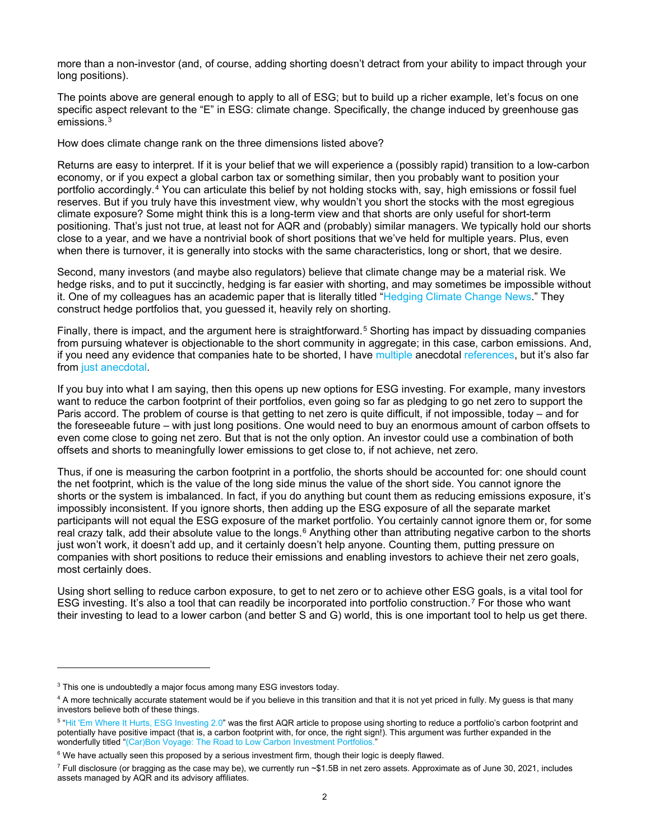more than a non-investor (and, of course, adding shorting doesn't detract from your ability to impact through your long positions).

The points above are general enough to apply to all of ESG; but to build up a richer example, let's focus on one specific aspect relevant to the "E" in ESG: climate change. Specifically, the change induced by greenhouse gas emissions.[3](#page-1-0)

How does climate change rank on the three dimensions listed above?

Returns are easy to interpret. If it is your belief that we will experience a (possibly rapid) transition to a low-carbon economy, or if you expect a global carbon tax or something similar, then you probably want to position your portfolio accordingly.[4](#page-1-1) You can articulate this belief by not holding stocks with, say, high emissions or fossil fuel reserves. But if you truly have this investment view, why wouldn't you short the stocks with the most egregious climate exposure? Some might think this is a long-term view and that shorts are only useful for short-term positioning. That's just not true, at least not for AQR and (probably) similar managers. We typically hold our shorts close to a year, and we have a nontrivial book of short positions that we've held for multiple years. Plus, even when there is turnover, it is generally into stocks with the same characteristics, long or short, that we desire.

Second, many investors (and maybe also regulators) believe that climate change may be a material risk. We hedge risks, and to put it succinctly, hedging is far easier with shorting, and may sometimes be impossible without it. One of my colleagues has an academic paper that is literally titled ["Hedging Climate Change News.](https://academic.oup.com/rfs/article-abstract/33/3/1184/5735305?redirectedFrom=fulltext)" They construct hedge portfolios that, you guessed it, heavily rely on shorting.

Finally, there is impact, and the argument here is straightforward.<sup>[5](#page-1-2)</sup> Shorting has impact by dissuading companies from pursuing whatever is objectionable to the short community in aggregate; in this case, carbon emissions. And, if you need any evidence that companies hate to be shorted, I have [multiple](https://www.independent.co.uk/news/world/americas/elon-musk-short-sellers-gamestop-b1794444.html) anecdotal [references,](https://www.marketwatch.com/story/overstock-founder-tried-to-squeeze-short-sellers-then-sold-out-when-the-sec-cracked-down-2019-09-19) but it's also far from [just anecdotal.](https://www.ft.com/content/136930dc-16cb-4acc-bdee-09833697244b)

If you buy into what I am saying, then this opens up new options for ESG investing. For example, many investors want to reduce the carbon footprint of their portfolios, even going so far as pledging to go net zero to support the Paris accord. The problem of course is that getting to net zero is quite difficult, if not impossible, today – and for the foreseeable future – with just long positions. One would need to buy an enormous amount of carbon offsets to even come close to going net zero. But that is not the only option. An investor could use a combination of both offsets and shorts to meaningfully lower emissions to get close to, if not achieve, net zero.

Thus, if one is measuring the carbon footprint in a portfolio, the shorts should be accounted for: one should count the net footprint, which is the value of the long side minus the value of the short side. You cannot ignore the shorts or the system is imbalanced. In fact, if you do anything but count them as reducing emissions exposure, it's impossibly inconsistent. If you ignore shorts, then adding up the ESG exposure of all the separate market participants will not equal the ESG exposure of the market portfolio. You certainly cannot ignore them or, for some real crazy talk, add their absolute value to the longs. $6$  Anything other than attributing negative carbon to the shorts just won't work, it doesn't add up, and it certainly doesn't help anyone. Counting them, putting pressure on companies with short positions to reduce their emissions and enabling investors to achieve their net zero goals, most certainly does.

Using short selling to reduce carbon exposure, to get to net zero or to achieve other ESG goals, is a vital tool for ESG investing. It's also a tool that can readily be incorporated into portfolio construction.[7](#page-1-4) For those who want their investing to lead to a lower carbon (and better S and G) world, this is one important tool to help us get there.

<span id="page-1-0"></span><sup>&</sup>lt;sup>3</sup> This one is undoubtedly a major focus among many ESG investors today.

<span id="page-1-1"></span><sup>&</sup>lt;sup>4</sup> A more technically accurate statement would be if you believe in this transition and that it is not yet priced in fully. My guess is that many investors believe both of these things.

<span id="page-1-2"></span><sup>&</sup>lt;sup>5</sup> ["Hit 'Em Where It Hurts, ESG Investing 2.0"](https://www.aqr.com/Insights/Research/Trade-Publication/Hit-Em-Where-It-Hurts-ESG-Investing-2) was the first AQR article to propose using shorting to reduce a portfolio's carbon footprint and potentially have positive impact (that is, a carbon footprint with, for once, the right sign!). This argument was further expanded in the wonderfully titled ["\(Car\)Bon Voyage: The Road to Low Carbon Investment Portfolios."](https://www.aqr.com/Insights/Research/White-Papers/CarBon-Voyage-The-Road-to-Low-Carbon-Investment-Portfolios)

<span id="page-1-3"></span> $6$  We have actually seen this proposed by a serious investment firm, though their logic is deeply flawed.

<span id="page-1-4"></span> $^7$  Full disclosure (or bragging as the case may be), we currently run  $\sim$ \$1.5B in net zero assets. Approximate as of June 30, 2021, includes assets managed by AQR and its advisory affiliates.